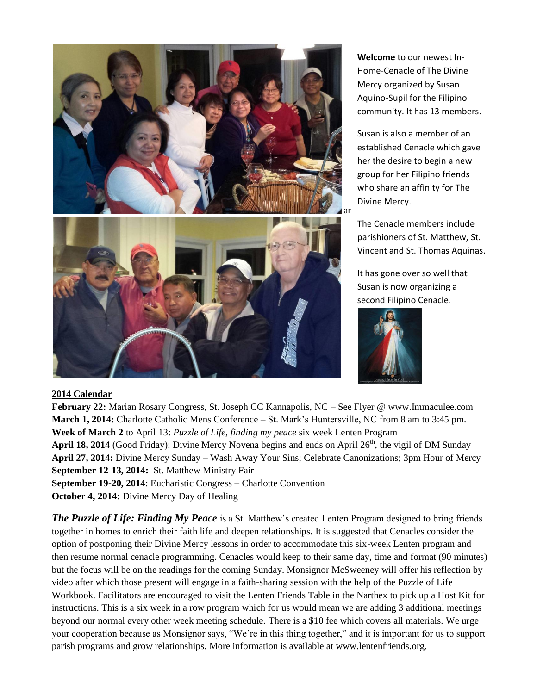

**Welcome** to our newest In-Home-Cenacle of The Divine Mercy organized by Susan Aquino-Supil for the Filipino community. It has 13 members.

Susan is also a member of an established Cenacle which gave her the desire to begin a new group for her Filipino friends who share an affinity for The Divine Mercy.

The Cenacle members include parishioners of St. Matthew, St. Vincent and St. Thomas Aquinas.

It has gone over so well that Susan is now organizing a second Filipino Cenacle.



## **2014 Calendar**

**February 22:** Marian Rosary Congress, St. Joseph CC Kannapolis, NC – See Flyer @ www.Immaculee.com **March 1, 2014:** Charlotte Catholic Mens Conference – St. Mark's Huntersville, NC from 8 am to 3:45 pm. **Week of March 2** to April 13: *Puzzle of Life, finding my peace* six week Lenten Program April 18, 2014 (Good Friday): Divine Mercy Novena begins and ends on April 26<sup>th</sup>, the vigil of DM Sunday **April 27, 2014:** Divine Mercy Sunday – Wash Away Your Sins; Celebrate Canonizations; 3pm Hour of Mercy **September 12-13, 2014:** St. Matthew Ministry Fair **September 19-20, 2014**: Eucharistic Congress – Charlotte Convention **October 4, 2014:** Divine Mercy Day of Healing

*The Puzzle of Life: Finding My Peace* is a St. Matthew's created Lenten Program designed to bring friends together in homes to enrich their faith life and deepen relationships. It is suggested that Cenacles consider the option of postponing their Divine Mercy lessons in order to accommodate this six-week Lenten program and then resume normal cenacle programming. Cenacles would keep to their same day, time and format (90 minutes) but the focus will be on the readings for the coming Sunday. Monsignor McSweeney will offer his reflection by video after which those present will engage in a faith-sharing session with the help of the Puzzle of Life Workbook. Facilitators are encouraged to visit the Lenten Friends Table in the Narthex to pick up a Host Kit for instructions. This is a six week in a row program which for us would mean we are adding 3 additional meetings beyond our normal every other week meeting schedule. There is a \$10 fee which covers all materials. We urge your cooperation because as Monsignor says, "We're in this thing together," and it is important for us to support parish programs and grow relationships. More information is available at www.lentenfriends.org.